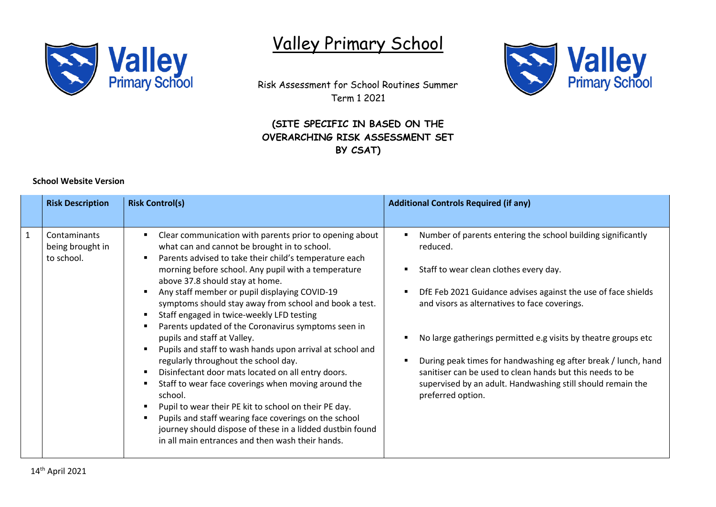

## Valley Primary School



Risk Assessment for School Routines Summer Term 1 2021

## **(SITE SPECIFIC IN BASED ON THE OVERARCHING RISK ASSESSMENT SET BY CSAT)**

## **School Website Version**

| <b>Risk Description</b>    |                  | <b>Risk Control(s)</b>                                                                                                                                                                                                                                                                                                                                                                                                                                                                                                                                                                                                                                                                                                                                                                                                                                                                                                                                                                      | <b>Additional Controls Required (if any)</b>                                                                                                                                                                                                                                                                                                                                                                                                                                                                              |
|----------------------------|------------------|---------------------------------------------------------------------------------------------------------------------------------------------------------------------------------------------------------------------------------------------------------------------------------------------------------------------------------------------------------------------------------------------------------------------------------------------------------------------------------------------------------------------------------------------------------------------------------------------------------------------------------------------------------------------------------------------------------------------------------------------------------------------------------------------------------------------------------------------------------------------------------------------------------------------------------------------------------------------------------------------|---------------------------------------------------------------------------------------------------------------------------------------------------------------------------------------------------------------------------------------------------------------------------------------------------------------------------------------------------------------------------------------------------------------------------------------------------------------------------------------------------------------------------|
| Contaminants<br>to school. | being brought in | Clear communication with parents prior to opening about<br>what can and cannot be brought in to school.<br>Parents advised to take their child's temperature each<br>morning before school. Any pupil with a temperature<br>above 37.8 should stay at home.<br>Any staff member or pupil displaying COVID-19<br>symptoms should stay away from school and book a test.<br>Staff engaged in twice-weekly LFD testing<br>Parents updated of the Coronavirus symptoms seen in<br>pupils and staff at Valley.<br>Pupils and staff to wash hands upon arrival at school and<br>regularly throughout the school day.<br>Disinfectant door mats located on all entry doors.<br>$\blacksquare$<br>Staff to wear face coverings when moving around the<br>school.<br>Pupil to wear their PE kit to school on their PE day.<br>Pupils and staff wearing face coverings on the school<br>journey should dispose of these in a lidded dustbin found<br>in all main entrances and then wash their hands. | Number of parents entering the school building significantly<br>reduced.<br>Staff to wear clean clothes every day.<br>DfE Feb 2021 Guidance advises against the use of face shields<br>and visors as alternatives to face coverings.<br>No large gatherings permitted e.g visits by theatre groups etc<br>During peak times for handwashing eg after break / lunch, hand<br>sanitiser can be used to clean hands but this needs to be<br>supervised by an adult. Handwashing still should remain the<br>preferred option. |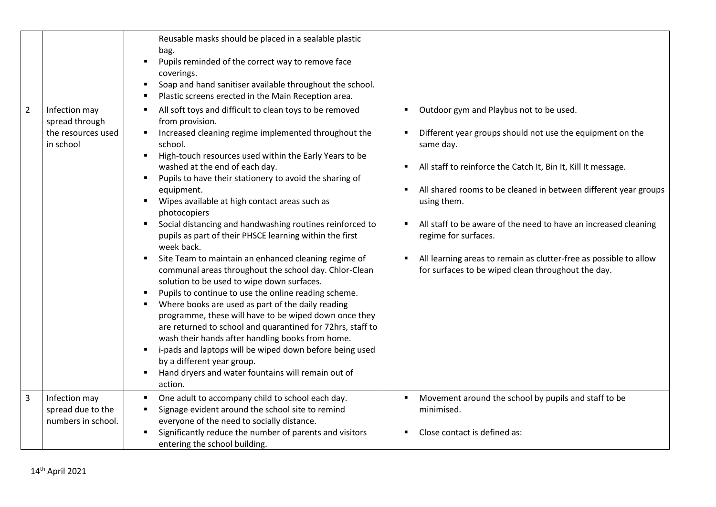|                |                                                                    | Reusable masks should be placed in a sealable plastic<br>bag.<br>Pupils reminded of the correct way to remove face<br>$\blacksquare$<br>coverings.<br>Soap and hand sanitiser available throughout the school.<br>$\blacksquare$<br>Plastic screens erected in the Main Reception area.<br>٠                                                                                                                                                                                                                                                                                                                                                                                                                                                                                                                                                                                                                                                                                                                                                                                                                                                                         |                                                                                                                                                                                                                                                                                                                                                                                                                                                                                            |
|----------------|--------------------------------------------------------------------|----------------------------------------------------------------------------------------------------------------------------------------------------------------------------------------------------------------------------------------------------------------------------------------------------------------------------------------------------------------------------------------------------------------------------------------------------------------------------------------------------------------------------------------------------------------------------------------------------------------------------------------------------------------------------------------------------------------------------------------------------------------------------------------------------------------------------------------------------------------------------------------------------------------------------------------------------------------------------------------------------------------------------------------------------------------------------------------------------------------------------------------------------------------------|--------------------------------------------------------------------------------------------------------------------------------------------------------------------------------------------------------------------------------------------------------------------------------------------------------------------------------------------------------------------------------------------------------------------------------------------------------------------------------------------|
| $\overline{2}$ | Infection may<br>spread through<br>the resources used<br>in school | All soft toys and difficult to clean toys to be removed<br>٠<br>from provision.<br>Increased cleaning regime implemented throughout the<br>school.<br>High-touch resources used within the Early Years to be<br>٠<br>washed at the end of each day.<br>Pupils to have their stationery to avoid the sharing of<br>equipment.<br>Wipes available at high contact areas such as<br>photocopiers<br>Social distancing and handwashing routines reinforced to<br>$\blacksquare$<br>pupils as part of their PHSCE learning within the first<br>week back.<br>Site Team to maintain an enhanced cleaning regime of<br>٠<br>communal areas throughout the school day. Chlor-Clean<br>solution to be used to wipe down surfaces.<br>Pupils to continue to use the online reading scheme.<br>٠<br>Where books are used as part of the daily reading<br>programme, these will have to be wiped down once they<br>are returned to school and quarantined for 72hrs, staff to<br>wash their hands after handling books from home.<br>i-pads and laptops will be wiped down before being used<br>by a different year group.<br>Hand dryers and water fountains will remain out of | Outdoor gym and Playbus not to be used.<br>Different year groups should not use the equipment on the<br>same day.<br>All staff to reinforce the Catch It, Bin It, Kill It message.<br>All shared rooms to be cleaned in between different year groups<br>using them.<br>All staff to be aware of the need to have an increased cleaning<br>regime for surfaces.<br>All learning areas to remain as clutter-free as possible to allow<br>for surfaces to be wiped clean throughout the day. |
| 3              | Infection may<br>spread due to the<br>numbers in school.           | action.<br>One adult to accompany child to school each day.<br>Signage evident around the school site to remind<br>٠<br>everyone of the need to socially distance.<br>Significantly reduce the number of parents and visitors<br>π.<br>entering the school building.                                                                                                                                                                                                                                                                                                                                                                                                                                                                                                                                                                                                                                                                                                                                                                                                                                                                                                 | Movement around the school by pupils and staff to be<br>minimised.<br>Close contact is defined as:                                                                                                                                                                                                                                                                                                                                                                                         |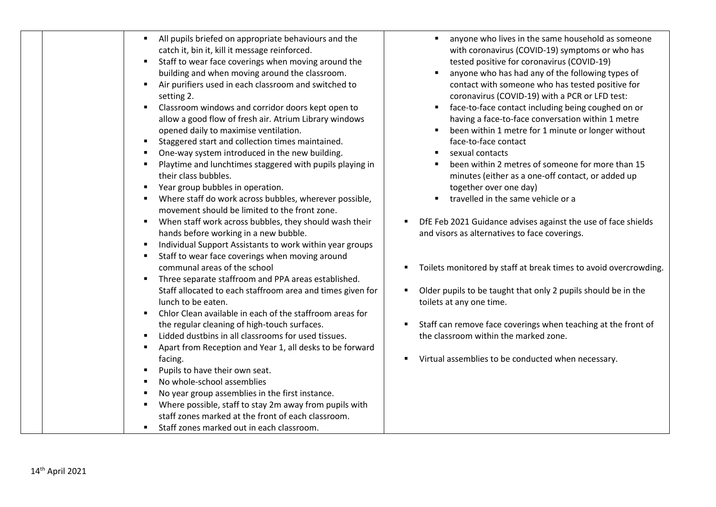| All pupils briefed on appropriate behaviours and the                                                                                                                                                                                                                                                                                                                                                                                                                                                                                                                                                                                                                                                                                                                                                                                                                                                                                                                                                                                                                                                                                                                                                                                                                                                                                                                                                                                                                                                                                                                                                                                                      |                                                                                                                                                                                                                                                                                                                                                                                                                                                                                                                                                                                                                                                                                                                                                                                                                                                                                                                                                                                                                                                                                                                                                      |
|-----------------------------------------------------------------------------------------------------------------------------------------------------------------------------------------------------------------------------------------------------------------------------------------------------------------------------------------------------------------------------------------------------------------------------------------------------------------------------------------------------------------------------------------------------------------------------------------------------------------------------------------------------------------------------------------------------------------------------------------------------------------------------------------------------------------------------------------------------------------------------------------------------------------------------------------------------------------------------------------------------------------------------------------------------------------------------------------------------------------------------------------------------------------------------------------------------------------------------------------------------------------------------------------------------------------------------------------------------------------------------------------------------------------------------------------------------------------------------------------------------------------------------------------------------------------------------------------------------------------------------------------------------------|------------------------------------------------------------------------------------------------------------------------------------------------------------------------------------------------------------------------------------------------------------------------------------------------------------------------------------------------------------------------------------------------------------------------------------------------------------------------------------------------------------------------------------------------------------------------------------------------------------------------------------------------------------------------------------------------------------------------------------------------------------------------------------------------------------------------------------------------------------------------------------------------------------------------------------------------------------------------------------------------------------------------------------------------------------------------------------------------------------------------------------------------------|
| catch it, bin it, kill it message reinforced.<br>Staff to wear face coverings when moving around the<br>building and when moving around the classroom.<br>Air purifiers used in each classroom and switched to<br>setting 2.<br>Classroom windows and corridor doors kept open to<br>allow a good flow of fresh air. Atrium Library windows<br>opened daily to maximise ventilation.<br>Staggered start and collection times maintained.<br>One-way system introduced in the new building.<br>Playtime and lunchtimes staggered with pupils playing in<br>their class bubbles.<br>Year group bubbles in operation.<br>Where staff do work across bubbles, wherever possible,<br>movement should be limited to the front zone.<br>When staff work across bubbles, they should wash their<br>п<br>hands before working in a new bubble.<br>Individual Support Assistants to work within year groups<br>Staff to wear face coverings when moving around<br>communal areas of the school<br>Three separate staffroom and PPA areas established.<br>Staff allocated to each staffroom area and times given for<br>lunch to be eaten.<br>Chlor Clean available in each of the staffroom areas for<br>the regular cleaning of high-touch surfaces.<br>Lidded dustbins in all classrooms for used tissues.<br>Apart from Reception and Year 1, all desks to be forward<br>facing.<br>Pupils to have their own seat.<br>No whole-school assemblies<br>No year group assemblies in the first instance.<br>Where possible, staff to stay 2m away from pupils with<br>staff zones marked at the front of each classroom.<br>Staff zones marked out in each classroom. | anyone who lives in the same household as someone<br>with coronavirus (COVID-19) symptoms or who has<br>tested positive for coronavirus (COVID-19)<br>anyone who has had any of the following types of<br>contact with someone who has tested positive for<br>coronavirus (COVID-19) with a PCR or LFD test:<br>face-to-face contact including being coughed on or<br>having a face-to-face conversation within 1 metre<br>been within 1 metre for 1 minute or longer without<br>face-to-face contact<br>sexual contacts<br>been within 2 metres of someone for more than 15<br>minutes (either as a one-off contact, or added up<br>together over one day)<br>travelled in the same vehicle or a<br>DfE Feb 2021 Guidance advises against the use of face shields<br>and visors as alternatives to face coverings.<br>Toilets monitored by staff at break times to avoid overcrowding.<br>Older pupils to be taught that only 2 pupils should be in the<br>toilets at any one time.<br>Staff can remove face coverings when teaching at the front of<br>the classroom within the marked zone.<br>Virtual assemblies to be conducted when necessary. |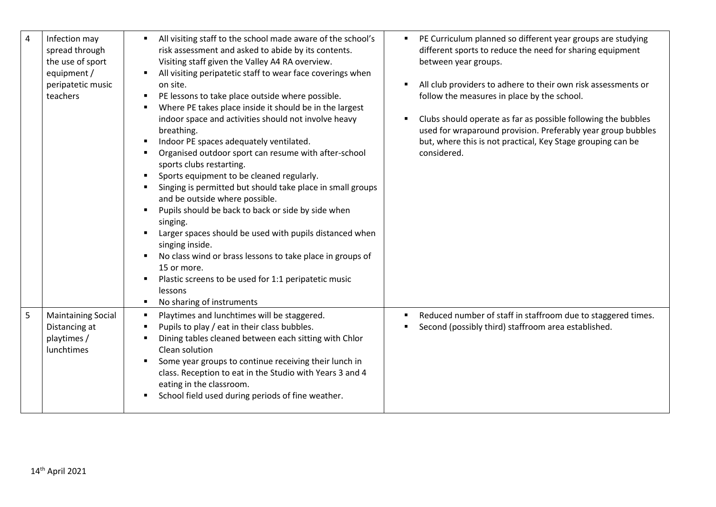| $\overline{4}$ | Infection may<br>spread through<br>the use of sport<br>equipment /<br>peripatetic music<br>teachers | All visiting staff to the school made aware of the school's<br>٠<br>risk assessment and asked to abide by its contents.<br>Visiting staff given the Valley A4 RA overview.<br>All visiting peripatetic staff to wear face coverings when<br>٠<br>on site.<br>PE lessons to take place outside where possible.<br>٠<br>Where PE takes place inside it should be in the largest<br>indoor space and activities should not involve heavy<br>breathing.<br>Indoor PE spaces adequately ventilated.<br>٠<br>Organised outdoor sport can resume with after-school<br>sports clubs restarting.<br>Sports equipment to be cleaned regularly.<br>٠<br>Singing is permitted but should take place in small groups<br>and be outside where possible.<br>Pupils should be back to back or side by side when<br>٠<br>singing.<br>Larger spaces should be used with pupils distanced when<br>singing inside.<br>No class wind or brass lessons to take place in groups of<br>15 or more.<br>Plastic screens to be used for 1:1 peripatetic music<br>٠<br>lessons<br>No sharing of instruments<br>л. | PE Curriculum planned so different year groups are studying<br>٠<br>different sports to reduce the need for sharing equipment<br>between year groups.<br>All club providers to adhere to their own risk assessments or<br>٠<br>follow the measures in place by the school.<br>Clubs should operate as far as possible following the bubbles<br>٠<br>used for wraparound provision. Preferably year group bubbles<br>but, where this is not practical, Key Stage grouping can be<br>considered. |
|----------------|-----------------------------------------------------------------------------------------------------|---------------------------------------------------------------------------------------------------------------------------------------------------------------------------------------------------------------------------------------------------------------------------------------------------------------------------------------------------------------------------------------------------------------------------------------------------------------------------------------------------------------------------------------------------------------------------------------------------------------------------------------------------------------------------------------------------------------------------------------------------------------------------------------------------------------------------------------------------------------------------------------------------------------------------------------------------------------------------------------------------------------------------------------------------------------------------------------|------------------------------------------------------------------------------------------------------------------------------------------------------------------------------------------------------------------------------------------------------------------------------------------------------------------------------------------------------------------------------------------------------------------------------------------------------------------------------------------------|
| 5              | <b>Maintaining Social</b><br>Distancing at<br>playtimes /<br>lunchtimes                             | Playtimes and lunchtimes will be staggered.<br>٠<br>Pupils to play / eat in their class bubbles.<br>п<br>Dining tables cleaned between each sitting with Chlor<br>٠<br>Clean solution<br>Some year groups to continue receiving their lunch in<br>class. Reception to eat in the Studio with Years 3 and 4<br>eating in the classroom.<br>School field used during periods of fine weather.                                                                                                                                                                                                                                                                                                                                                                                                                                                                                                                                                                                                                                                                                           | Reduced number of staff in staffroom due to staggered times.<br>$\blacksquare$<br>Second (possibly third) staffroom area established.                                                                                                                                                                                                                                                                                                                                                          |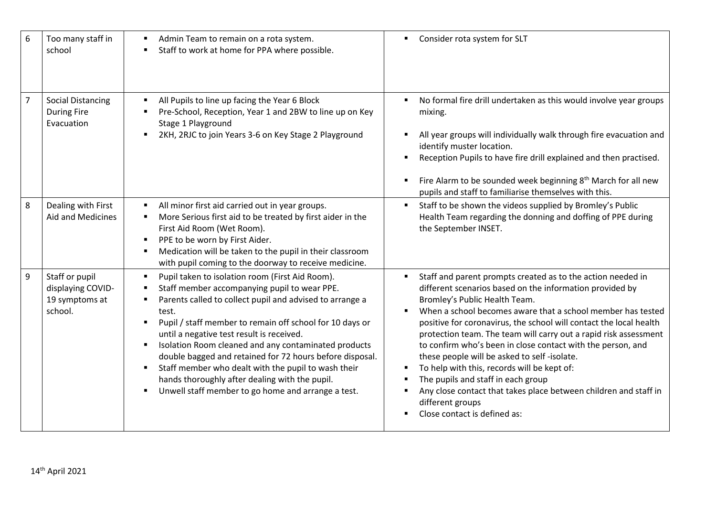| 6 | Too many staff in<br>school                                      | Admin Team to remain on a rota system.<br>Staff to work at home for PPA where possible.                                                                                                                                                                                                                                                                                                                                                                                                                                                                                                                                                            | Consider rota system for SLT                                                                                                                                                                                                                                                                                                                                                                                                                                                                                                                                                                                                                                                                                                  |
|---|------------------------------------------------------------------|----------------------------------------------------------------------------------------------------------------------------------------------------------------------------------------------------------------------------------------------------------------------------------------------------------------------------------------------------------------------------------------------------------------------------------------------------------------------------------------------------------------------------------------------------------------------------------------------------------------------------------------------------|-------------------------------------------------------------------------------------------------------------------------------------------------------------------------------------------------------------------------------------------------------------------------------------------------------------------------------------------------------------------------------------------------------------------------------------------------------------------------------------------------------------------------------------------------------------------------------------------------------------------------------------------------------------------------------------------------------------------------------|
| 7 | <b>Social Distancing</b><br><b>During Fire</b><br>Evacuation     | All Pupils to line up facing the Year 6 Block<br>Pre-School, Reception, Year 1 and 2BW to line up on Key<br>Stage 1 Playground<br>2KH, 2RJC to join Years 3-6 on Key Stage 2 Playground<br>$\blacksquare$                                                                                                                                                                                                                                                                                                                                                                                                                                          | No formal fire drill undertaken as this would involve year groups<br>٠<br>mixing.<br>All year groups will individually walk through fire evacuation and<br>٠<br>identify muster location.<br>Reception Pupils to have fire drill explained and then practised.<br>Fire Alarm to be sounded week beginning 8 <sup>th</sup> March for all new<br>٠<br>pupils and staff to familiarise themselves with this.                                                                                                                                                                                                                                                                                                                     |
| 8 | Dealing with First<br>Aid and Medicines                          | All minor first aid carried out in year groups.<br>More Serious first aid to be treated by first aider in the<br>First Aid Room (Wet Room).<br>PPE to be worn by First Aider.<br>$\blacksquare$<br>Medication will be taken to the pupil in their classroom<br>with pupil coming to the doorway to receive medicine.                                                                                                                                                                                                                                                                                                                               | Staff to be shown the videos supplied by Bromley's Public<br>٠<br>Health Team regarding the donning and doffing of PPE during<br>the September INSET.                                                                                                                                                                                                                                                                                                                                                                                                                                                                                                                                                                         |
| 9 | Staff or pupil<br>displaying COVID-<br>19 symptoms at<br>school. | Pupil taken to isolation room (First Aid Room).<br>п<br>Staff member accompanying pupil to wear PPE.<br>п<br>Parents called to collect pupil and advised to arrange a<br>test.<br>Pupil / staff member to remain off school for 10 days or<br>$\blacksquare$<br>until a negative test result is received.<br>Isolation Room cleaned and any contaminated products<br>$\blacksquare$<br>double bagged and retained for 72 hours before disposal.<br>Staff member who dealt with the pupil to wash their<br>$\blacksquare$<br>hands thoroughly after dealing with the pupil.<br>Unwell staff member to go home and arrange a test.<br>$\blacksquare$ | Staff and parent prompts created as to the action needed in<br>٠<br>different scenarios based on the information provided by<br>Bromley's Public Health Team.<br>When a school becomes aware that a school member has tested<br>$\blacksquare$<br>positive for coronavirus, the school will contact the local health<br>protection team. The team will carry out a rapid risk assessment<br>to confirm who's been in close contact with the person, and<br>these people will be asked to self-isolate.<br>To help with this, records will be kept of:<br>٠<br>The pupils and staff in each group<br>Any close contact that takes place between children and staff in<br>٠<br>different groups<br>Close contact is defined as: |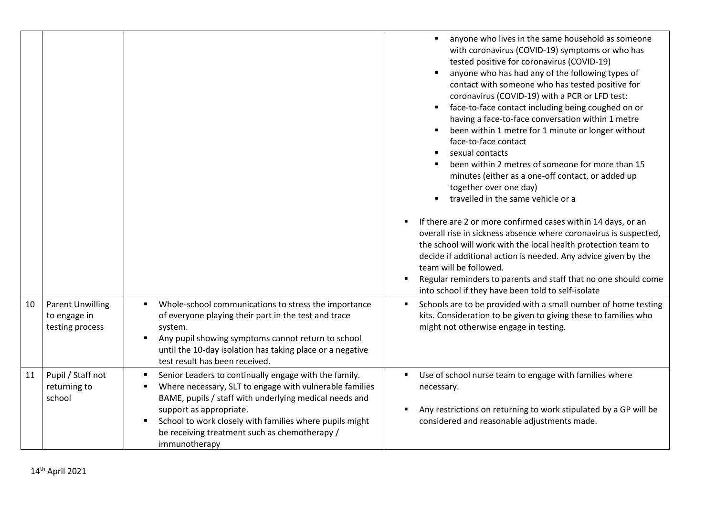|    |                                                            |                                                                                                                                                                                                                                                                                                                                                                | anyone who lives in the same household as someone<br>٠<br>with coronavirus (COVID-19) symptoms or who has<br>tested positive for coronavirus (COVID-19)<br>anyone who has had any of the following types of<br>contact with someone who has tested positive for<br>coronavirus (COVID-19) with a PCR or LFD test:<br>face-to-face contact including being coughed on or<br>٠<br>having a face-to-face conversation within 1 metre<br>been within 1 metre for 1 minute or longer without<br>face-to-face contact<br>sexual contacts<br>been within 2 metres of someone for more than 15<br>minutes (either as a one-off contact, or added up<br>together over one day)<br>travelled in the same vehicle or a<br>If there are 2 or more confirmed cases within 14 days, or an<br>$\blacksquare$<br>overall rise in sickness absence where coronavirus is suspected,<br>the school will work with the local health protection team to<br>decide if additional action is needed. Any advice given by the<br>team will be followed.<br>Regular reminders to parents and staff that no one should come<br>٠<br>into school if they have been told to self-isolate |
|----|------------------------------------------------------------|----------------------------------------------------------------------------------------------------------------------------------------------------------------------------------------------------------------------------------------------------------------------------------------------------------------------------------------------------------------|-------------------------------------------------------------------------------------------------------------------------------------------------------------------------------------------------------------------------------------------------------------------------------------------------------------------------------------------------------------------------------------------------------------------------------------------------------------------------------------------------------------------------------------------------------------------------------------------------------------------------------------------------------------------------------------------------------------------------------------------------------------------------------------------------------------------------------------------------------------------------------------------------------------------------------------------------------------------------------------------------------------------------------------------------------------------------------------------------------------------------------------------------------------|
| 10 | <b>Parent Unwilling</b><br>to engage in<br>testing process | Whole-school communications to stress the importance<br>٠<br>of everyone playing their part in the test and trace<br>system.<br>Any pupil showing symptoms cannot return to school<br>$\blacksquare$<br>until the 10-day isolation has taking place or a negative<br>test result has been received.                                                            | Schools are to be provided with a small number of home testing<br>٠<br>kits. Consideration to be given to giving these to families who<br>might not otherwise engage in testing.                                                                                                                                                                                                                                                                                                                                                                                                                                                                                                                                                                                                                                                                                                                                                                                                                                                                                                                                                                            |
| 11 | Pupil / Staff not<br>returning to<br>school                | Senior Leaders to continually engage with the family.<br>$\blacksquare$<br>Where necessary, SLT to engage with vulnerable families<br>٠<br>BAME, pupils / staff with underlying medical needs and<br>support as appropriate.<br>School to work closely with families where pupils might<br>٠<br>be receiving treatment such as chemotherapy /<br>immunotherapy | Use of school nurse team to engage with families where<br>necessary.<br>Any restrictions on returning to work stipulated by a GP will be<br>٠<br>considered and reasonable adjustments made.                                                                                                                                                                                                                                                                                                                                                                                                                                                                                                                                                                                                                                                                                                                                                                                                                                                                                                                                                                |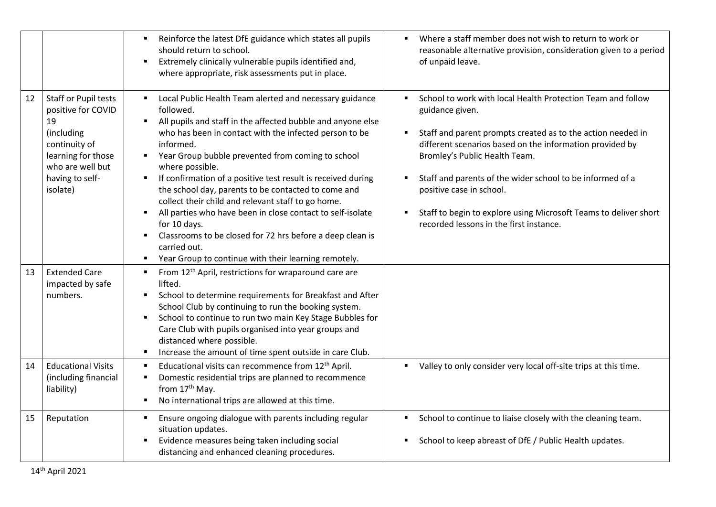|    |                                                                                                                                                          | Reinforce the latest DfE guidance which states all pupils<br>$\blacksquare$<br>should return to school.<br>Extremely clinically vulnerable pupils identified and,<br>$\blacksquare$<br>where appropriate, risk assessments put in place.                                                                                                                                                                                                                                                                                                                                                                                                                                                                                                           | Where a staff member does not wish to return to work or<br>$\blacksquare$<br>reasonable alternative provision, consideration given to a period<br>of unpaid leave.                                                                                                                                                                                                                                                                                                                     |
|----|----------------------------------------------------------------------------------------------------------------------------------------------------------|----------------------------------------------------------------------------------------------------------------------------------------------------------------------------------------------------------------------------------------------------------------------------------------------------------------------------------------------------------------------------------------------------------------------------------------------------------------------------------------------------------------------------------------------------------------------------------------------------------------------------------------------------------------------------------------------------------------------------------------------------|----------------------------------------------------------------------------------------------------------------------------------------------------------------------------------------------------------------------------------------------------------------------------------------------------------------------------------------------------------------------------------------------------------------------------------------------------------------------------------------|
| 12 | Staff or Pupil tests<br>positive for COVID<br>19<br>(including<br>continuity of<br>learning for those<br>who are well but<br>having to self-<br>isolate) | Local Public Health Team alerted and necessary guidance<br>followed.<br>All pupils and staff in the affected bubble and anyone else<br>٠<br>who has been in contact with the infected person to be<br>informed.<br>Year Group bubble prevented from coming to school<br>$\blacksquare$<br>where possible.<br>If confirmation of a positive test result is received during<br>$\blacksquare$<br>the school day, parents to be contacted to come and<br>collect their child and relevant staff to go home.<br>All parties who have been in close contact to self-isolate<br>٠<br>for 10 days.<br>Classrooms to be closed for 72 hrs before a deep clean is<br>carried out.<br>Year Group to continue with their learning remotely.<br>$\blacksquare$ | School to work with local Health Protection Team and follow<br>guidance given.<br>Staff and parent prompts created as to the action needed in<br>different scenarios based on the information provided by<br>Bromley's Public Health Team.<br>Staff and parents of the wider school to be informed of a<br>$\blacksquare$<br>positive case in school.<br>Staff to begin to explore using Microsoft Teams to deliver short<br>$\blacksquare$<br>recorded lessons in the first instance. |
| 13 | <b>Extended Care</b><br>impacted by safe<br>numbers.                                                                                                     | From 12 <sup>th</sup> April, restrictions for wraparound care are<br>$\blacksquare$<br>lifted.<br>School to determine requirements for Breakfast and After<br>$\blacksquare$<br>School Club by continuing to run the booking system.<br>School to continue to run two main Key Stage Bubbles for<br>٠.<br>Care Club with pupils organised into year groups and<br>distanced where possible.<br>Increase the amount of time spent outside in care Club.<br>$\blacksquare$                                                                                                                                                                                                                                                                           |                                                                                                                                                                                                                                                                                                                                                                                                                                                                                        |
| 14 | <b>Educational Visits</b><br>(including financial<br>liability)                                                                                          | Educational visits can recommence from 12 <sup>th</sup> April.<br>п<br>Domestic residential trips are planned to recommence<br>п<br>from 17th May.<br>No international trips are allowed at this time.<br>$\blacksquare$                                                                                                                                                                                                                                                                                                                                                                                                                                                                                                                           | Valley to only consider very local off-site trips at this time.                                                                                                                                                                                                                                                                                                                                                                                                                        |
| 15 | Reputation                                                                                                                                               | Ensure ongoing dialogue with parents including regular<br>٠<br>situation updates.<br>Evidence measures being taken including social<br>$\blacksquare$<br>distancing and enhanced cleaning procedures.                                                                                                                                                                                                                                                                                                                                                                                                                                                                                                                                              | School to continue to liaise closely with the cleaning team.<br>٠<br>School to keep abreast of DfE / Public Health updates.<br>٠                                                                                                                                                                                                                                                                                                                                                       |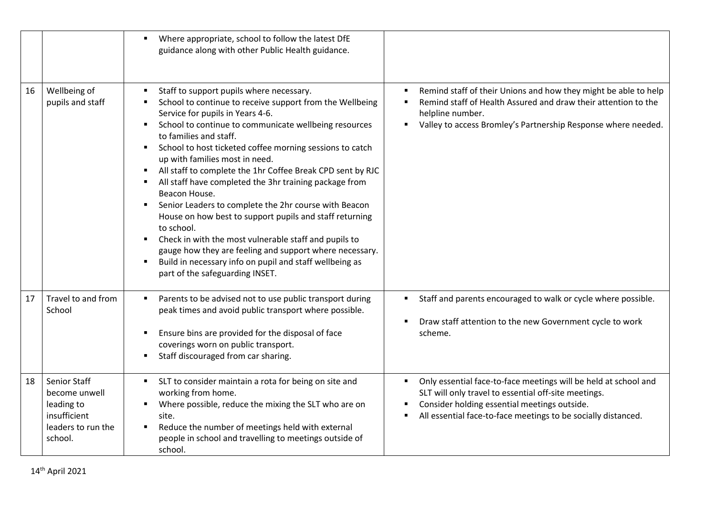|    |                                                                                                     | Where appropriate, school to follow the latest DfE<br>guidance along with other Public Health guidance.                                                                                                                                                                                                                                                                                                                                                                                                                                                                                                                                                                                                                                                                                                                                                                                                                            |                                                                                                                                                                                                                                               |
|----|-----------------------------------------------------------------------------------------------------|------------------------------------------------------------------------------------------------------------------------------------------------------------------------------------------------------------------------------------------------------------------------------------------------------------------------------------------------------------------------------------------------------------------------------------------------------------------------------------------------------------------------------------------------------------------------------------------------------------------------------------------------------------------------------------------------------------------------------------------------------------------------------------------------------------------------------------------------------------------------------------------------------------------------------------|-----------------------------------------------------------------------------------------------------------------------------------------------------------------------------------------------------------------------------------------------|
| 16 | Wellbeing of<br>pupils and staff                                                                    | Staff to support pupils where necessary.<br>School to continue to receive support from the Wellbeing<br>Service for pupils in Years 4-6.<br>School to continue to communicate wellbeing resources<br>$\blacksquare$<br>to families and staff.<br>School to host ticketed coffee morning sessions to catch<br>$\blacksquare$<br>up with families most in need.<br>All staff to complete the 1hr Coffee Break CPD sent by RJC<br>$\blacksquare$<br>All staff have completed the 3hr training package from<br>Beacon House.<br>Senior Leaders to complete the 2hr course with Beacon<br>$\blacksquare$<br>House on how best to support pupils and staff returning<br>to school.<br>Check in with the most vulnerable staff and pupils to<br>$\blacksquare$<br>gauge how they are feeling and support where necessary.<br>Build in necessary info on pupil and staff wellbeing as<br>$\blacksquare$<br>part of the safeguarding INSET. | Remind staff of their Unions and how they might be able to help<br>$\blacksquare$<br>Remind staff of Health Assured and draw their attention to the<br>helpline number.<br>Valley to access Bromley's Partnership Response where needed.      |
| 17 | Travel to and from<br>School                                                                        | Parents to be advised not to use public transport during<br>$\blacksquare$<br>peak times and avoid public transport where possible.<br>Ensure bins are provided for the disposal of face<br>$\blacksquare$<br>coverings worn on public transport.<br>Staff discouraged from car sharing.<br>$\blacksquare$                                                                                                                                                                                                                                                                                                                                                                                                                                                                                                                                                                                                                         | Staff and parents encouraged to walk or cycle where possible.<br>٠<br>Draw staff attention to the new Government cycle to work<br>scheme.                                                                                                     |
| 18 | <b>Senior Staff</b><br>become unwell<br>leading to<br>insufficient<br>leaders to run the<br>school. | SLT to consider maintain a rota for being on site and<br>working from home.<br>Where possible, reduce the mixing the SLT who are on<br>site.<br>Reduce the number of meetings held with external<br>٠<br>people in school and travelling to meetings outside of<br>school.                                                                                                                                                                                                                                                                                                                                                                                                                                                                                                                                                                                                                                                         | Only essential face-to-face meetings will be held at school and<br>٠<br>SLT will only travel to essential off-site meetings.<br>Consider holding essential meetings outside.<br>All essential face-to-face meetings to be socially distanced. |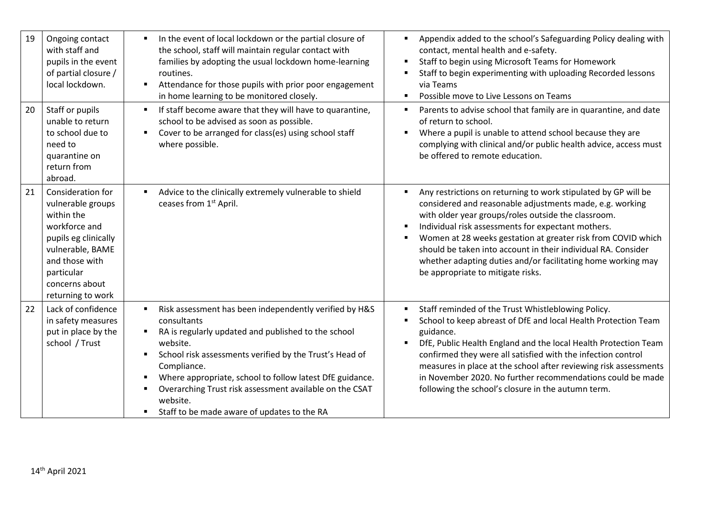| 19 | Ongoing contact<br>with staff and<br>pupils in the event<br>of partial closure /<br>local lockdown.                                                                                      | In the event of local lockdown or the partial closure of<br>٠<br>the school, staff will maintain regular contact with<br>families by adopting the usual lockdown home-learning<br>routines.<br>Attendance for those pupils with prior poor engagement<br>٠<br>in home learning to be monitored closely.                                                                                                                                                              | Appendix added to the school's Safeguarding Policy dealing with<br>contact, mental health and e-safety.<br>Staff to begin using Microsoft Teams for Homework<br>п<br>Staff to begin experimenting with uploading Recorded lessons<br>via Teams<br>Possible move to Live Lessons on Teams<br>$\blacksquare$                                                                                                                                                                                                        |
|----|------------------------------------------------------------------------------------------------------------------------------------------------------------------------------------------|----------------------------------------------------------------------------------------------------------------------------------------------------------------------------------------------------------------------------------------------------------------------------------------------------------------------------------------------------------------------------------------------------------------------------------------------------------------------|-------------------------------------------------------------------------------------------------------------------------------------------------------------------------------------------------------------------------------------------------------------------------------------------------------------------------------------------------------------------------------------------------------------------------------------------------------------------------------------------------------------------|
| 20 | Staff or pupils<br>unable to return<br>to school due to<br>need to<br>quarantine on<br>return from<br>abroad.                                                                            | If staff become aware that they will have to quarantine,<br>$\blacksquare$<br>school to be advised as soon as possible.<br>Cover to be arranged for class(es) using school staff<br>$\blacksquare$<br>where possible.                                                                                                                                                                                                                                                | Parents to advise school that family are in quarantine, and date<br>$\blacksquare$<br>of return to school.<br>Where a pupil is unable to attend school because they are<br>$\blacksquare$<br>complying with clinical and/or public health advice, access must<br>be offered to remote education.                                                                                                                                                                                                                  |
| 21 | Consideration for<br>vulnerable groups<br>within the<br>workforce and<br>pupils eg clinically<br>vulnerable, BAME<br>and those with<br>particular<br>concerns about<br>returning to work | Advice to the clinically extremely vulnerable to shield<br>ceases from 1 <sup>st</sup> April.                                                                                                                                                                                                                                                                                                                                                                        | Any restrictions on returning to work stipulated by GP will be<br>considered and reasonable adjustments made, e.g. working<br>with older year groups/roles outside the classroom.<br>Individual risk assessments for expectant mothers.<br>$\blacksquare$<br>Women at 28 weeks gestation at greater risk from COVID which<br>$\blacksquare$<br>should be taken into account in their individual RA. Consider<br>whether adapting duties and/or facilitating home working may<br>be appropriate to mitigate risks. |
| 22 | Lack of confidence<br>in safety measures<br>put in place by the<br>school / Trust                                                                                                        | Risk assessment has been independently verified by H&S<br>$\blacksquare$<br>consultants<br>RA is regularly updated and published to the school<br>п<br>website.<br>School risk assessments verified by the Trust's Head of<br>$\blacksquare$<br>Compliance.<br>Where appropriate, school to follow latest DfE guidance.<br>$\blacksquare$<br>Overarching Trust risk assessment available on the CSAT<br>п<br>website.<br>Staff to be made aware of updates to the RA | Staff reminded of the Trust Whistleblowing Policy.<br>$\blacksquare$<br>School to keep abreast of DfE and local Health Protection Team<br>guidance.<br>DfE, Public Health England and the local Health Protection Team<br>$\blacksquare$<br>confirmed they were all satisfied with the infection control<br>measures in place at the school after reviewing risk assessments<br>in November 2020. No further recommendations could be made<br>following the school's closure in the autumn term.                  |